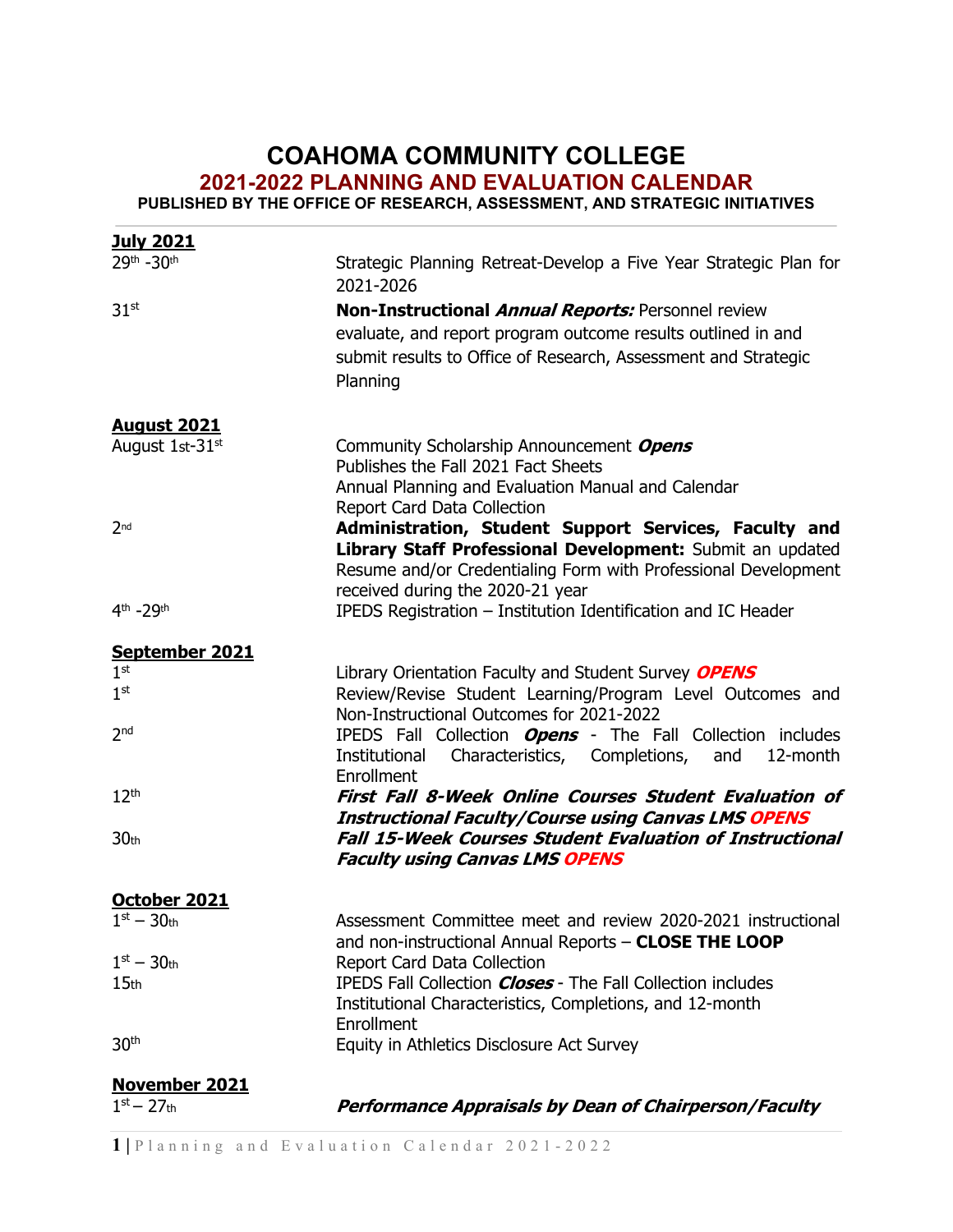## **COAHOMA COMMUNITY COLLEGE 2021-2022 PLANNING AND EVALUATION CALENDAR**

**PUBLISHED BY THE OFFICE OF RESEARCH, ASSESSMENT, AND STRATEGIC INITIATIVES**

| <b>July 2021</b>                      |                                                                                                                               |
|---------------------------------------|-------------------------------------------------------------------------------------------------------------------------------|
| 29th -30th                            | Strategic Planning Retreat-Develop a Five Year Strategic Plan for<br>2021-2026                                                |
| 31 <sup>st</sup>                      | Non-Instructional Annual Reports: Personnel review                                                                            |
|                                       | evaluate, and report program outcome results outlined in and                                                                  |
|                                       | submit results to Office of Research, Assessment and Strategic                                                                |
|                                       | Planning                                                                                                                      |
|                                       |                                                                                                                               |
| <b>August 2021</b><br>August 1st-31st | Community Scholarship Announcement Opens                                                                                      |
|                                       | Publishes the Fall 2021 Fact Sheets                                                                                           |
|                                       | Annual Planning and Evaluation Manual and Calendar                                                                            |
|                                       | Report Card Data Collection                                                                                                   |
| 2 <sub>nd</sub>                       | Administration, Student Support Services, Faculty and                                                                         |
|                                       | Library Staff Professional Development: Submit an updated                                                                     |
|                                       | Resume and/or Credentialing Form with Professional Development                                                                |
|                                       | received during the 2020-21 year                                                                                              |
| 4th -29th                             | IPEDS Registration - Institution Identification and IC Header                                                                 |
| September 2021                        |                                                                                                                               |
| 1 <sup>st</sup>                       | Library Orientation Faculty and Student Survey OPENS                                                                          |
| 1 <sup>st</sup>                       | Review/Revise Student Learning/Program Level Outcomes and                                                                     |
|                                       | Non-Instructional Outcomes for 2021-2022                                                                                      |
| 2 <sub>nd</sub>                       | IPEDS Fall Collection <b>Opens</b> - The Fall Collection includes                                                             |
|                                       | Characteristics, Completions,<br>Institutional<br>and<br>12-month                                                             |
|                                       | Enrollment                                                                                                                    |
| 12 <sup>th</sup>                      | <b>First Fall 8-Week Online Courses Student Evaluation of</b>                                                                 |
| 30 <sub>th</sub>                      | <b>Instructional Faculty/Course using Canvas LMS OPENS</b><br><b>Fall 15-Week Courses Student Evaluation of Instructional</b> |
|                                       | <b>Faculty using Canvas LMS OPENS</b>                                                                                         |
|                                       |                                                                                                                               |
| October 2021                          |                                                                                                                               |
| $1st - 30th$                          | Assessment Committee meet and review 2020-2021 instructional                                                                  |
|                                       | and non-instructional Annual Reports - CLOSE THE LOOP                                                                         |
| $1st - 30th$                          | Report Card Data Collection                                                                                                   |
| 15 <sub>th</sub>                      | IPEDS Fall Collection <i>Closes</i> - The Fall Collection includes                                                            |
|                                       | Institutional Characteristics, Completions, and 12-month                                                                      |
|                                       | Enrollment                                                                                                                    |
| 30 <sup>th</sup>                      | Equity in Athletics Disclosure Act Survey                                                                                     |
| <b>November 2021</b>                  |                                                                                                                               |
| $1st - 27th$                          | <b>Performance Appraisals by Dean of Chairperson/Faculty</b>                                                                  |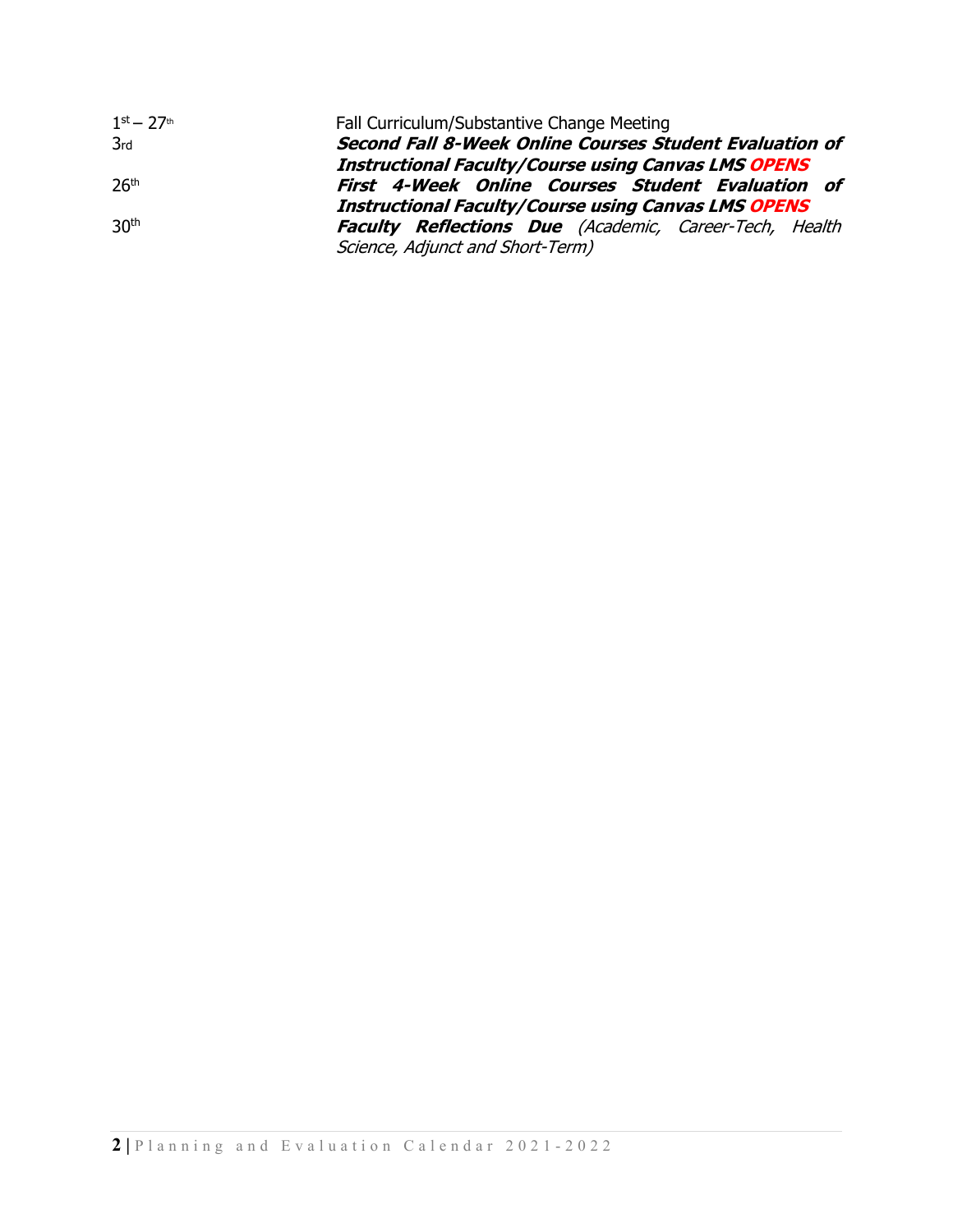| $1^{\text{st}} - 27^{\text{th}}$ | Fall Curriculum/Substantive Change Meeting                     |
|----------------------------------|----------------------------------------------------------------|
| 3rd                              | <b>Second Fall 8-Week Online Courses Student Evaluation of</b> |
|                                  | <b>Instructional Faculty/Course using Canvas LMS OPENS</b>     |
| 26 <sup>th</sup>                 | <b>First 4-Week Online Courses Student Evaluation of</b>       |
|                                  | <b>Instructional Faculty/Course using Canvas LMS OPENS</b>     |
| 30 <sup>th</sup>                 | <b>Faculty Reflections Due</b> (Academic, Career-Tech, Health  |
|                                  | Science, Adjunct and Short-Term)                               |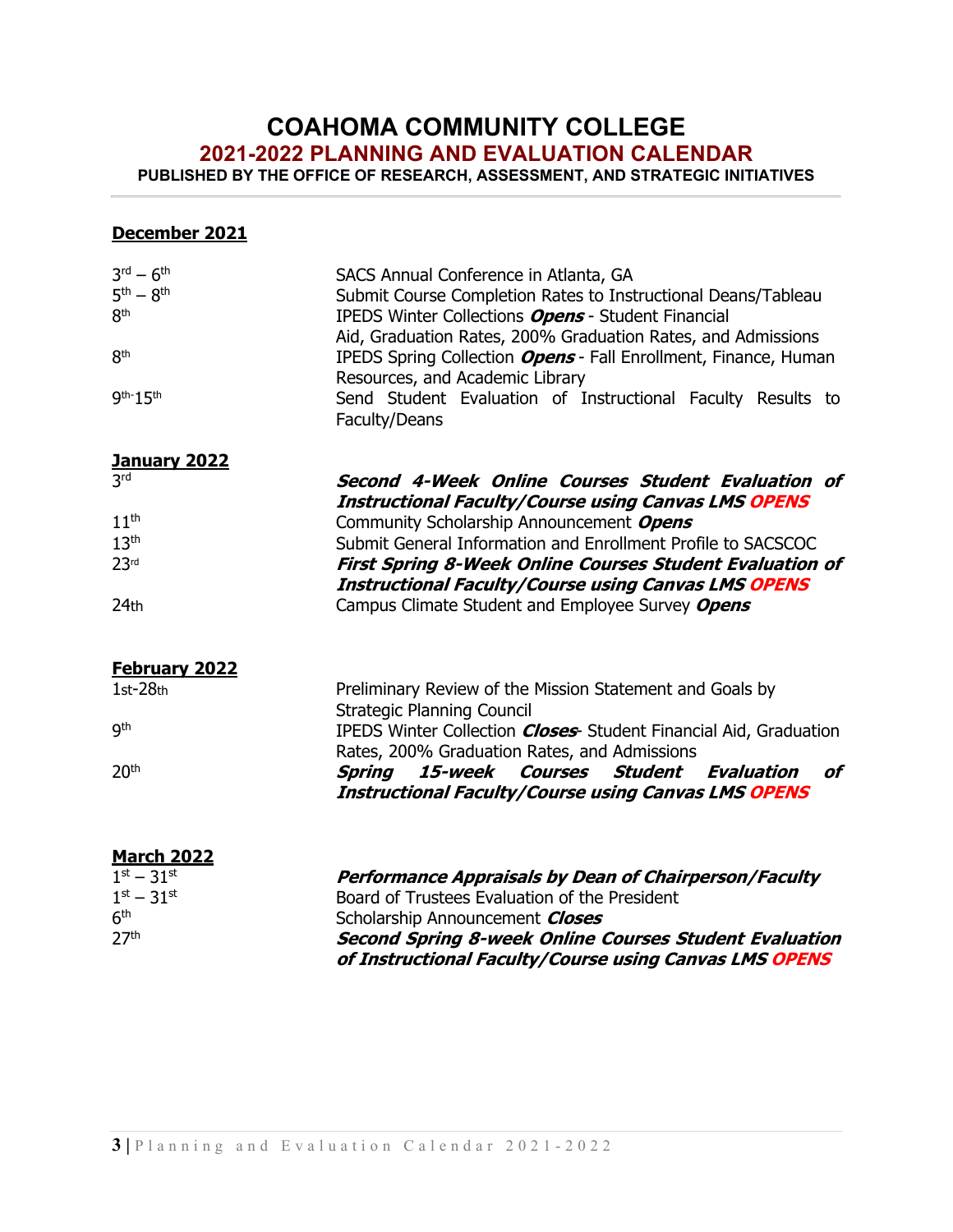### **COAHOMA COMMUNITY COLLEGE**

**2021-2022 PLANNING AND EVALUATION CALENDAR**

**PUBLISHED BY THE OFFICE OF RESEARCH, ASSESSMENT, AND STRATEGIC INITIATIVES**

#### **December 2021**

| $3^{\text{rd}} - 6^{\text{th}}$<br>$5th - 8th$<br>8 <sup>th</sup><br>8 <sup>th</sup><br>9th-15th | SACS Annual Conference in Atlanta, GA<br>Submit Course Completion Rates to Instructional Deans/Tableau<br>IPEDS Winter Collections Opens - Student Financial<br>Aid, Graduation Rates, 200% Graduation Rates, and Admissions<br>IPEDS Spring Collection <b>Opens</b> - Fall Enrollment, Finance, Human<br>Resources, and Academic Library<br>Send Student Evaluation of Instructional Faculty Results to<br>Faculty/Deans |
|--------------------------------------------------------------------------------------------------|---------------------------------------------------------------------------------------------------------------------------------------------------------------------------------------------------------------------------------------------------------------------------------------------------------------------------------------------------------------------------------------------------------------------------|
| <b>January 2022</b>                                                                              |                                                                                                                                                                                                                                                                                                                                                                                                                           |
| 3rd                                                                                              | Second 4-Week Online Courses Student Evaluation of<br><b>Instructional Faculty/Course using Canvas LMS OPENS</b>                                                                                                                                                                                                                                                                                                          |
| 11 <sup>th</sup>                                                                                 | Community Scholarship Announcement Opens                                                                                                                                                                                                                                                                                                                                                                                  |
| 13 <sup>th</sup>                                                                                 | Submit General Information and Enrollment Profile to SACSCOC                                                                                                                                                                                                                                                                                                                                                              |
| 23 <sup>rd</sup>                                                                                 | <b>First Spring 8-Week Online Courses Student Evaluation of</b>                                                                                                                                                                                                                                                                                                                                                           |
|                                                                                                  | <b>Instructional Faculty/Course using Canvas LMS OPENS</b>                                                                                                                                                                                                                                                                                                                                                                |
| 24th                                                                                             | Campus Climate Student and Employee Survey Opens                                                                                                                                                                                                                                                                                                                                                                          |
| <b>February 2022</b>                                                                             |                                                                                                                                                                                                                                                                                                                                                                                                                           |
| $1st-28th$                                                                                       | Preliminary Review of the Mission Statement and Goals by<br><b>Strategic Planning Council</b>                                                                                                                                                                                                                                                                                                                             |
| <b>gth</b>                                                                                       | IPEDS Winter Collection <i>Closes</i> Student Financial Aid, Graduation<br>Rates, 200% Graduation Rates, and Admissions                                                                                                                                                                                                                                                                                                   |
| 20 <sup>th</sup>                                                                                 | <b>Spring</b><br>15-week<br>Courses<br><b>Student</b><br>Evaluation<br>of<br><b>Instructional Faculty/Course using Canvas LMS OPENS</b>                                                                                                                                                                                                                                                                                   |
| <b>March 2022</b>                                                                                |                                                                                                                                                                                                                                                                                                                                                                                                                           |
| $1^{st} - 31^{st}$                                                                               | <b>Performance Appraisals by Dean of Chairperson/Faculty</b>                                                                                                                                                                                                                                                                                                                                                              |
| $1st - 31st$                                                                                     | Board of Trustees Evaluation of the President                                                                                                                                                                                                                                                                                                                                                                             |
| 6 <sup>th</sup>                                                                                  | Scholarship Announcement Closes                                                                                                                                                                                                                                                                                                                                                                                           |
| 27 <sup>th</sup>                                                                                 | Second Spring 8-week Online Courses Student Evaluation                                                                                                                                                                                                                                                                                                                                                                    |
|                                                                                                  | of Instructional Faculty/Course using Canvas LMS OPENS                                                                                                                                                                                                                                                                                                                                                                    |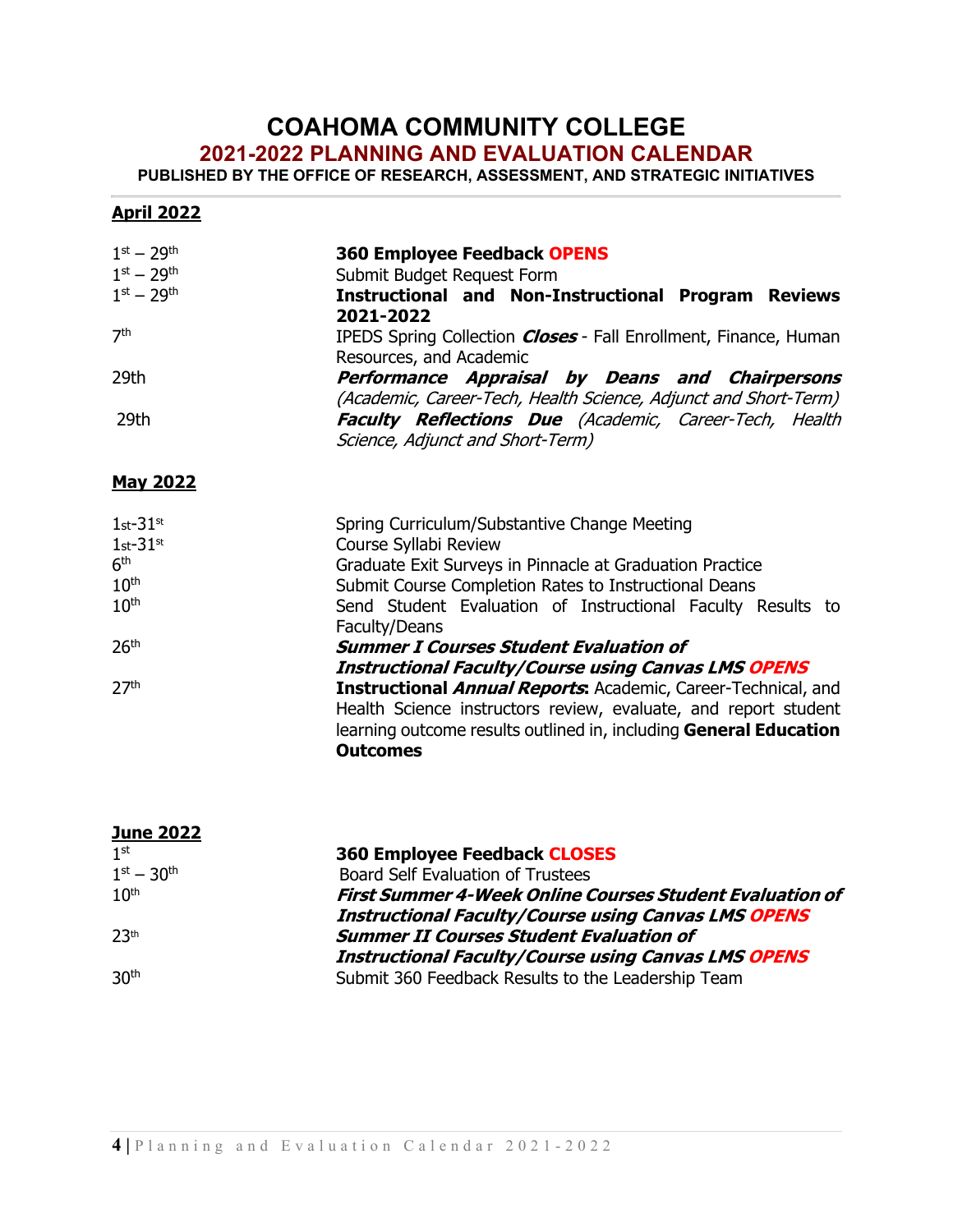### **COAHOMA COMMUNITY COLLEGE**

#### **2021-2022 PLANNING AND EVALUATION CALENDAR**

**PUBLISHED BY THE OFFICE OF RESEARCH, ASSESSMENT, AND STRATEGIC INITIATIVES**

| $1^{st} - 29^{th}$<br>$1^{st} - 29^{th}$<br>$1^{st} - 29^{th}$ | <b>360 Employee Feedback OPENS</b><br>Submit Budget Request Form<br><b>Instructional and Non-Instructional Program Reviews</b><br>2021-2022 |
|----------------------------------------------------------------|---------------------------------------------------------------------------------------------------------------------------------------------|
| 7 <sup>th</sup>                                                | IPEDS Spring Collection <i>Closes</i> - Fall Enrollment, Finance, Human<br>Resources, and Academic                                          |
| 29th                                                           | Performance Appraisal by Deans and Chairpersons<br>(Academic, Career-Tech, Health Science, Adjunct and Short-Term)                          |
| 29th                                                           | <b>Faculty Reflections Due</b> (Academic, Career-Tech, Health<br>Science, Adjunct and Short-Term)                                           |
| <b>May 2022</b>                                                |                                                                                                                                             |
| $1st-31st$<br>$1st-31st$                                       | Spring Curriculum/Substantive Change Meeting<br>Course Syllabi Review                                                                       |
| 6 <sup>th</sup><br>10 <sup>th</sup>                            | Graduate Exit Surveys in Pinnacle at Graduation Practice<br>Submit Course Completion Rates to Instructional Deans                           |
| 10 <sup>th</sup>                                               | Send Student Evaluation of Instructional Faculty Results to<br>Faculty/Deans                                                                |
| 26 <sup>th</sup>                                               | <b>Summer I Courses Student Evaluation of</b><br><b>Instructional Faculty/Course using Canvas LMS OPENS</b>                                 |
| 27 <sup>th</sup>                                               | <b>Instructional Annual Reports:</b> Academic, Career-Technical, and                                                                        |

Health Science instructors review, evaluate, and report student learning outcome results outlined in, including **General Education Outcomes**

| <b>June 2022</b>   |                                                                 |
|--------------------|-----------------------------------------------------------------|
| 1 <sup>st</sup>    | <b>360 Employee Feedback CLOSES</b>                             |
| $1^{st} - 30^{th}$ | <b>Board Self Evaluation of Trustees</b>                        |
| 10 <sup>th</sup>   | <b>First Summer 4-Week Online Courses Student Evaluation of</b> |
|                    | <b>Instructional Faculty/Course using Canvas LMS OPENS</b>      |
| 23th               | <b>Summer II Courses Student Evaluation of</b>                  |
|                    | <b>Instructional Faculty/Course using Canvas LMS OPENS</b>      |
| 30 <sup>th</sup>   | Submit 360 Feedback Results to the Leadership Team              |